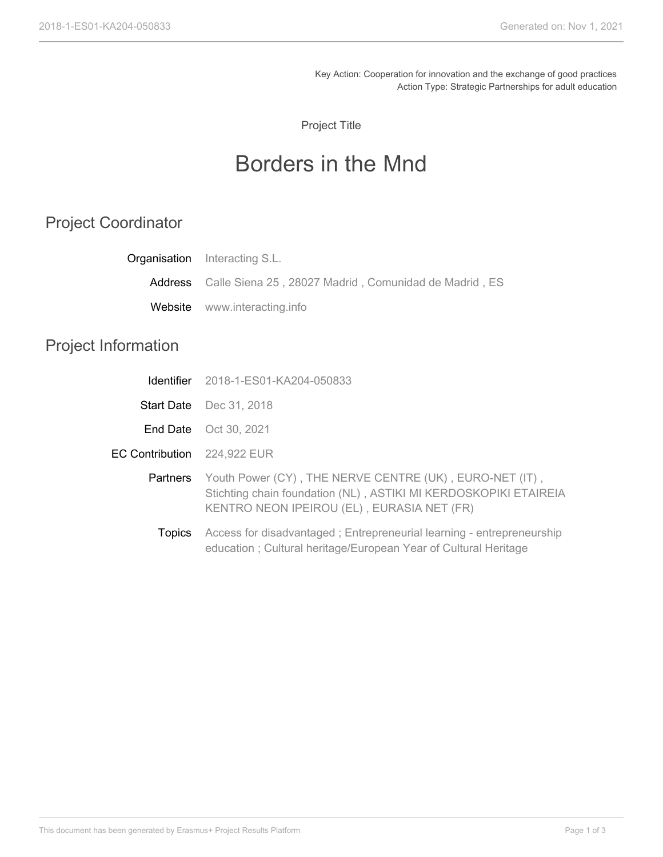Key Action: Cooperation for innovation and the exchange of good practices Action Type: Strategic Partnerships for adult education

Project Title

## Borders in the Mnd

## Project Coordinator

|                             | <b>Organisation</b> Interacting S.L.                                                                                                                                      |
|-----------------------------|---------------------------------------------------------------------------------------------------------------------------------------------------------------------------|
| Address                     | Calle Siena 25, 28027 Madrid, Comunidad de Madrid, ES                                                                                                                     |
|                             | <b>Website</b> www.interacting.info                                                                                                                                       |
| <b>Project Information</b>  |                                                                                                                                                                           |
| Identifier                  | 2018-1-ES01-KA204-050833                                                                                                                                                  |
|                             | <b>Start Date</b> Dec 31, 2018                                                                                                                                            |
|                             | <b>End Date</b> Oct 30, 2021                                                                                                                                              |
| EC Contribution 224,922 EUR |                                                                                                                                                                           |
| Partners                    | Youth Power (CY), THE NERVE CENTRE (UK), EURO-NET (IT),<br>Stichting chain foundation (NL), ASTIKI MI KERDOSKOPIKI ETAIREIA<br>KENTRO NEON IPEIROU (EL), EURASIA NET (FR) |
| Topics                      | Access for disadvantaged; Entrepreneurial learning - entrepreneurship<br>education; Cultural heritage/European Year of Cultural Heritage                                  |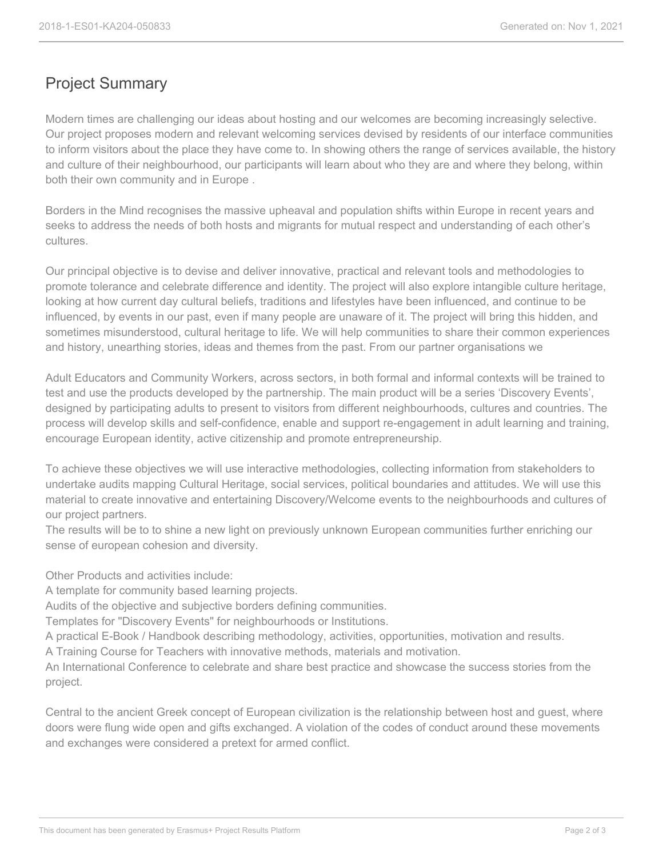## Project Summary

Modern times are challenging our ideas about hosting and our welcomes are becoming increasingly selective. Our project proposes modern and relevant welcoming services devised by residents of our interface communities to inform visitors about the place they have come to. In showing others the range of services available, the history and culture of their neighbourhood, our participants will learn about who they are and where they belong, within both their own community and in Europe .

Borders in the Mind recognises the massive upheaval and population shifts within Europe in recent years and seeks to address the needs of both hosts and migrants for mutual respect and understanding of each other's cultures.

Our principal objective is to devise and deliver innovative, practical and relevant tools and methodologies to promote tolerance and celebrate difference and identity. The project will also explore intangible culture heritage, looking at how current day cultural beliefs, traditions and lifestyles have been influenced, and continue to be influenced, by events in our past, even if many people are unaware of it. The project will bring this hidden, and sometimes misunderstood, cultural heritage to life. We will help communities to share their common experiences and history, unearthing stories, ideas and themes from the past. From our partner organisations we

Adult Educators and Community Workers, across sectors, in both formal and informal contexts will be trained to test and use the products developed by the partnership. The main product will be a series 'Discovery Events', designed by participating adults to present to visitors from different neighbourhoods, cultures and countries. The process will develop skills and self-confidence, enable and support re-engagement in adult learning and training, encourage European identity, active citizenship and promote entrepreneurship.

To achieve these objectives we will use interactive methodologies, collecting information from stakeholders to undertake audits mapping Cultural Heritage, social services, political boundaries and attitudes. We will use this material to create innovative and entertaining Discovery/Welcome events to the neighbourhoods and cultures of our project partners.

The results will be to to shine a new light on previously unknown European communities further enriching our sense of european cohesion and diversity.

Other Products and activities include:

A template for community based learning projects.

Audits of the objective and subjective borders defining communities.

Templates for "Discovery Events" for neighbourhoods or Institutions.

A practical E-Book / Handbook describing methodology, activities, opportunities, motivation and results.

A Training Course for Teachers with innovative methods, materials and motivation.

An International Conference to celebrate and share best practice and showcase the success stories from the project.

Central to the ancient Greek concept of European civilization is the relationship between host and guest, where doors were flung wide open and gifts exchanged. A violation of the codes of conduct around these movements and exchanges were considered a pretext for armed conflict.